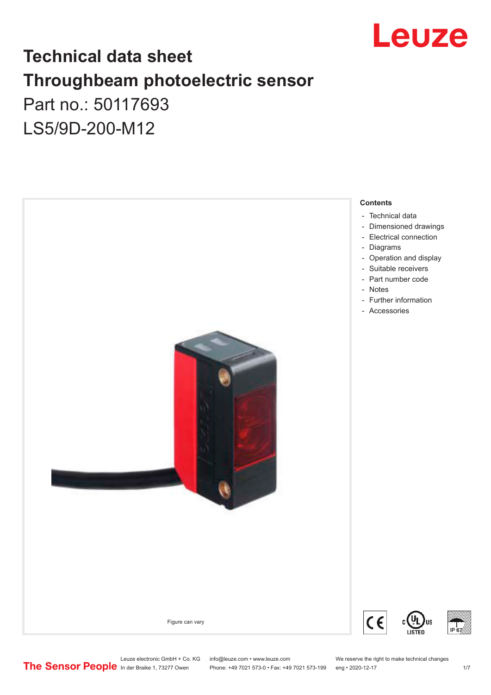

## **Technical data sheet Throughbeam photoelectric sensor**  Part no.: 50117693 LS5/9D-200-M12

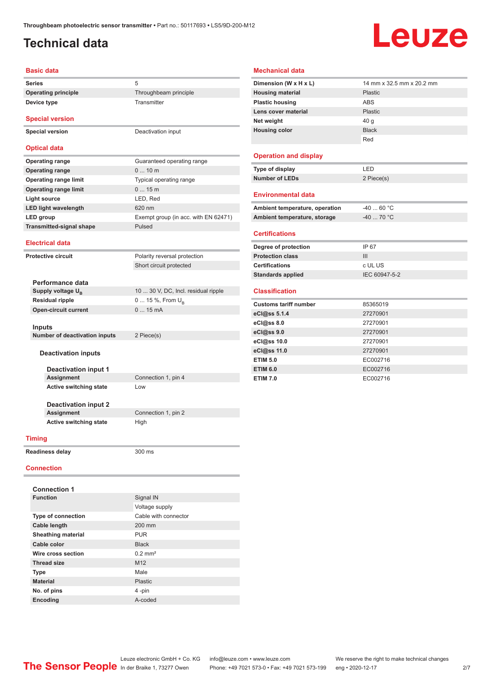## <span id="page-1-0"></span>**Technical data**

**Device type** Transmitter

## Leuze

#### **Basic data**

**Series** 5 **Operating principle** Throughbeam principle

**Special version**

**Special version** Deactivation input

### **Optical data**

| <b>Operating range</b>          | Guaranteed operating range           |
|---------------------------------|--------------------------------------|
| <b>Operating range</b>          | $010$ m                              |
| <b>Operating range limit</b>    | Typical operating range              |
| <b>Operating range limit</b>    | 015m                                 |
| Light source                    | LED, Red                             |
| <b>LED light wavelength</b>     | 620 nm                               |
| LED group                       | Exempt group (in acc. with EN 62471) |
| <b>Transmitted-signal shape</b> | Pulsed                               |
|                                 |                                      |

#### **Electrical data**

**Protective circuit** Polarity reversal protection Short circuit protected

| Performance data                     |                                     |
|--------------------------------------|-------------------------------------|
| Supply voltage U <sub>p</sub>        | 10  30 V, DC, Incl. residual ripple |
| <b>Residual ripple</b>               | 0  15 %, From $U_{\rm B}$           |
| <b>Open-circuit current</b>          | $015$ mA                            |
|                                      |                                     |
| <b>Inputs</b>                        |                                     |
| <b>Number of deactivation inputs</b> | 2 Piece(s)                          |

### **Deactivation inputs**

**Deactivation input 1 Active switching state** Low

**Connection 1, pin 4** 

**Deactivation input 2 Active switching state** High

**Connection 1, pin 2** 

### **Timing**

**Readiness delay** 300 ms

#### **Connection**

| <b>Connection 1</b>       |                       |
|---------------------------|-----------------------|
| <b>Function</b>           | Signal IN             |
|                           | Voltage supply        |
| <b>Type of connection</b> | Cable with connector  |
| <b>Cable length</b>       | 200 mm                |
| <b>Sheathing material</b> | <b>PUR</b>            |
| Cable color               | <b>Black</b>          |
| Wire cross section        | $0.2$ mm <sup>2</sup> |
| <b>Thread size</b>        | M <sub>12</sub>       |
| <b>Type</b>               | Male                  |
| <b>Material</b>           | Plastic               |
| No. of pins               | 4-pin                 |
| Encoding                  | A-coded               |

| Mechanical data                |                           |
|--------------------------------|---------------------------|
| Dimension (W x H x L)          | 14 mm x 32.5 mm x 20.2 mm |
| <b>Housing material</b>        | Plastic                   |
| <b>Plastic housing</b>         | <b>ABS</b>                |
| Lens cover material            | Plastic                   |
| Net weight                     | 40q                       |
| <b>Housing color</b>           | <b>Black</b>              |
|                                | Red                       |
| <b>Operation and display</b>   |                           |
| Type of display                | LED                       |
| <b>Number of LEDs</b>          | 2 Piece(s)                |
| <b>Environmental data</b>      |                           |
| Ambient temperature, operation | $-4060 °C$                |
| Ambient temperature, storage   | $-40$ 70 °C               |
| <b>Certifications</b>          |                           |
| Degree of protection           | IP 67                     |
| <b>Protection class</b>        | III                       |
| <b>Certifications</b>          | c UL US                   |
| <b>Standards applied</b>       | IEC 60947-5-2             |
| <b>Classification</b>          |                           |
| <b>Customs tariff number</b>   | 85365019                  |
| eCl@ss 5.1.4                   | 27270901                  |
| eCl@ss 8.0                     | 27270901                  |
| eCl@ss 9.0                     | 27270901                  |
| eCl@ss 10.0                    | 27270901                  |
| eCl@ss 11.0                    | 27270901                  |
| <b>ETIM 5.0</b>                | EC002716                  |
| <b>ETIM 6.0</b>                | EC002716                  |
|                                |                           |
| <b>ETIM 7.0</b>                | EC002716                  |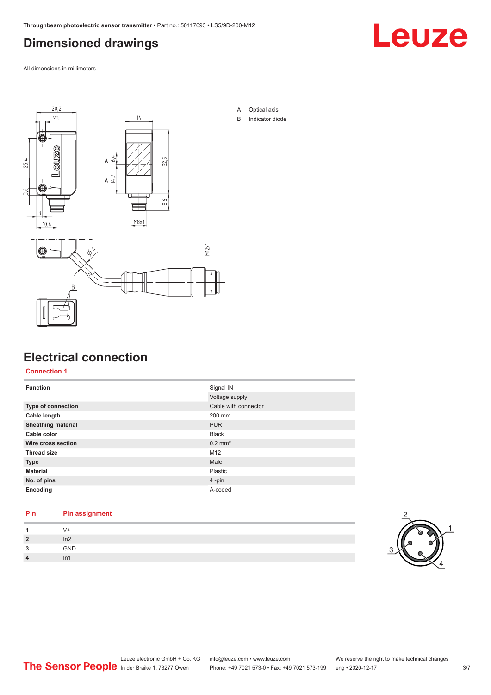## <span id="page-2-0"></span>**Dimensioned drawings**

Leuze

All dimensions in millimeters



## **Electrical connection**

**Connection 1**

| <b>Function</b>           | Signal IN             |
|---------------------------|-----------------------|
|                           | Voltage supply        |
| Type of connection        | Cable with connector  |
| Cable length              | 200 mm                |
| <b>Sheathing material</b> | <b>PUR</b>            |
| Cable color               | <b>Black</b>          |
| Wire cross section        | $0.2$ mm <sup>2</sup> |
| <b>Thread size</b>        | M12                   |
| <b>Type</b>               | Male                  |
| <b>Material</b>           | Plastic               |
| No. of pins               | $4$ -pin              |
| Encoding                  | A-coded               |

### **Pin Pin assignment**

| $\mathbf{1}$ |
|--------------|
| GND          |
|              |

B Indicator diode

1

4

2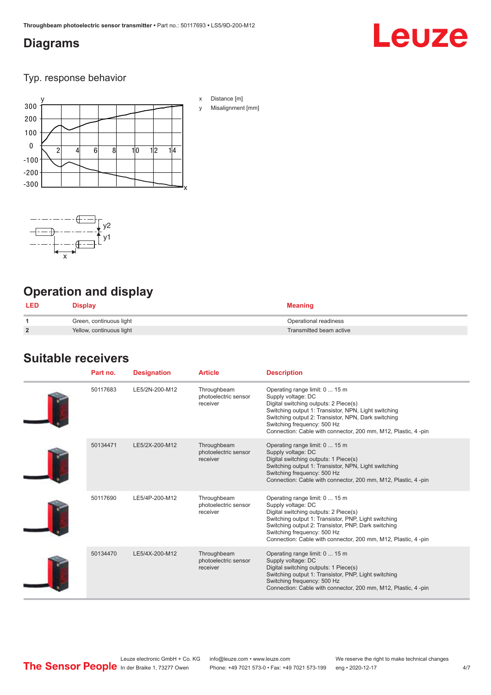### <span id="page-3-0"></span>**Diagrams**

# Leuze

Typ. response behavior





## **Operation and display**

| <b>LED</b>     | Display                  | <b>Meaning</b>          |
|----------------|--------------------------|-------------------------|
|                | Green, continuous light  | Operational readiness   |
| $\overline{2}$ | Yellow, continuous light | Transmitted beam active |

## **Suitable receivers**

| Part no. | <b>Designation</b> | <b>Article</b>                                  | <b>Description</b>                                                                                                                                                                                                                                                                                            |
|----------|--------------------|-------------------------------------------------|---------------------------------------------------------------------------------------------------------------------------------------------------------------------------------------------------------------------------------------------------------------------------------------------------------------|
| 50117683 | LE5/2N-200-M12     | Throughbeam<br>photoelectric sensor<br>receiver | Operating range limit: 0  15 m<br>Supply voltage: DC<br>Digital switching outputs: 2 Piece(s)<br>Switching output 1: Transistor, NPN, Light switching<br>Switching output 2: Transistor, NPN, Dark switching<br>Switching frequency: 500 Hz<br>Connection: Cable with connector, 200 mm, M12, Plastic, 4 -pin |
| 50134471 | LE5/2X-200-M12     | Throughbeam<br>photoelectric sensor<br>receiver | Operating range limit: 0  15 m<br>Supply voltage: DC<br>Digital switching outputs: 1 Piece(s)<br>Switching output 1: Transistor, NPN, Light switching<br>Switching frequency: 500 Hz<br>Connection: Cable with connector, 200 mm, M12, Plastic, 4 -pin                                                        |
| 50117690 | LE5/4P-200-M12     | Throughbeam<br>photoelectric sensor<br>receiver | Operating range limit: 0  15 m<br>Supply voltage: DC<br>Digital switching outputs: 2 Piece(s)<br>Switching output 1: Transistor, PNP, Light switching<br>Switching output 2: Transistor, PNP, Dark switching<br>Switching frequency: 500 Hz<br>Connection: Cable with connector, 200 mm, M12, Plastic, 4 -pin |
| 50134470 | LE5/4X-200-M12     | Throughbeam<br>photoelectric sensor<br>receiver | Operating range limit: 0  15 m<br>Supply voltage: DC<br>Digital switching outputs: 1 Piece(s)<br>Switching output 1: Transistor, PNP, Light switching<br>Switching frequency: 500 Hz<br>Connection: Cable with connector, 200 mm, M12, Plastic, 4 -pin                                                        |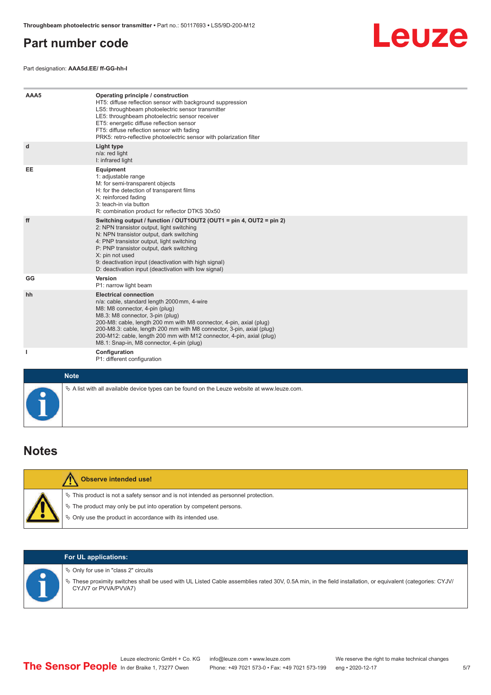### <span id="page-4-0"></span>**Part number code**

Part designation: **AAA5d.EE/ ff-GG-hh-I**



| AAA5         | Operating principle / construction<br>HT5: diffuse reflection sensor with background suppression<br>LS5: throughbeam photoelectric sensor transmitter<br>LE5: throughbeam photoelectric sensor receiver<br>ET5: energetic diffuse reflection sensor<br>FT5: diffuse reflection sensor with fading<br>PRK5: retro-reflective photoelectric sensor with polarization filter                                               |
|--------------|-------------------------------------------------------------------------------------------------------------------------------------------------------------------------------------------------------------------------------------------------------------------------------------------------------------------------------------------------------------------------------------------------------------------------|
| d            | Light type<br>n/a: red light<br>I: infrared light                                                                                                                                                                                                                                                                                                                                                                       |
| EE           | Equipment<br>1: adjustable range<br>M: for semi-transparent objects<br>H: for the detection of transparent films<br>X: reinforced fading<br>3: teach-in via button<br>R: combination product for reflector DTKS 30x50                                                                                                                                                                                                   |
| ff           | Switching output / function / OUT1OUT2 (OUT1 = pin 4, OUT2 = pin 2)<br>2: NPN transistor output, light switching<br>N: NPN transistor output, dark switching<br>4: PNP transistor output, light switching<br>P: PNP transistor output, dark switching<br>X: pin not used<br>9: deactivation input (deactivation with high signal)<br>D: deactivation input (deactivation with low signal)                               |
| GG           | Version<br>P1: narrow light beam                                                                                                                                                                                                                                                                                                                                                                                        |
| hh           | <b>Electrical connection</b><br>n/a: cable, standard length 2000 mm, 4-wire<br>M8: M8 connector, 4-pin (plug)<br>M8.3: M8 connector, 3-pin (plug)<br>200-M8: cable, length 200 mm with M8 connector, 4-pin, axial (plug)<br>200-M8.3: cable, length 200 mm with M8 connector, 3-pin, axial (plug)<br>200-M12: cable, length 200 mm with M12 connector, 4-pin, axial (plug)<br>M8.1: Snap-in, M8 connector, 4-pin (plug) |
| $\mathbf{I}$ | Configuration<br>P1: different configuration                                                                                                                                                                                                                                                                                                                                                                            |
| <b>Note</b>  |                                                                                                                                                                                                                                                                                                                                                                                                                         |

| 01<br>Г<br>. . |
|----------------|
|----------------|

| Observe intended use!                                                                                                                                          |
|----------------------------------------------------------------------------------------------------------------------------------------------------------------|
| $\%$ This product is not a safety sensor and is not intended as personnel protection.<br>$\&$ The product may only be put into operation by competent persons. |
| ₿ Only use the product in accordance with its intended use.                                                                                                    |

 $\&$  A list with all available device types can be found on the Leuze website at www.leuze.com.

### **For UL applications:**

 $\%$  Only for use in "class 2" circuits

ª These proximity switches shall be used with UL Listed Cable assemblies rated 30V, 0.5A min, in the field installation, or equivalent (categories: CYJV/ CYJV7 or PVVA/PVVA7)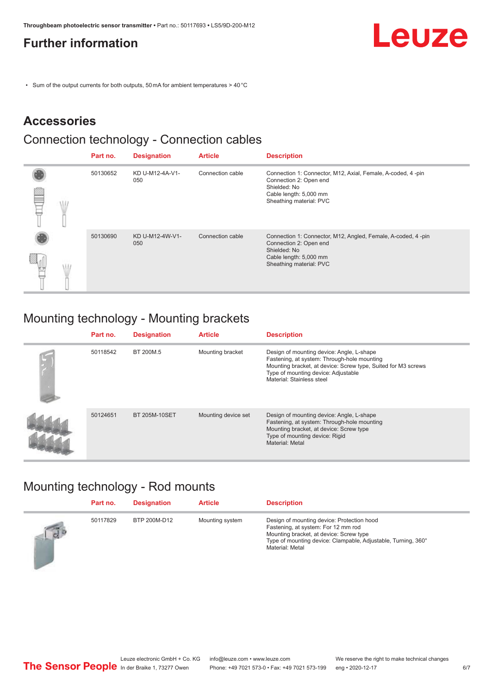### <span id="page-5-0"></span>**Further information**



• Sum of the output currents for both outputs, 50 mA for ambient temperatures > 40 °C

## **Accessories**

### Connection technology - Connection cables

|  | Part no. | <b>Designation</b>     | <b>Article</b>   | <b>Description</b>                                                                                                                                           |
|--|----------|------------------------|------------------|--------------------------------------------------------------------------------------------------------------------------------------------------------------|
|  | 50130652 | KD U-M12-4A-V1-<br>050 | Connection cable | Connection 1: Connector, M12, Axial, Female, A-coded, 4-pin<br>Connection 2: Open end<br>Shielded: No<br>Cable length: 5,000 mm<br>Sheathing material: PVC   |
|  | 50130690 | KD U-M12-4W-V1-<br>050 | Connection cable | Connection 1: Connector, M12, Angled, Female, A-coded, 4 -pin<br>Connection 2: Open end<br>Shielded: No<br>Cable length: 5,000 mm<br>Sheathing material: PVC |

## Mounting technology - Mounting brackets

| Part no. | <b>Designation</b> | <b>Article</b>      | <b>Description</b>                                                                                                                                                                                                            |
|----------|--------------------|---------------------|-------------------------------------------------------------------------------------------------------------------------------------------------------------------------------------------------------------------------------|
| 50118542 | BT 200M.5          | Mounting bracket    | Design of mounting device: Angle, L-shape<br>Fastening, at system: Through-hole mounting<br>Mounting bracket, at device: Screw type, Suited for M3 screws<br>Type of mounting device: Adjustable<br>Material: Stainless steel |
| 50124651 | BT 205M-10SET      | Mounting device set | Design of mounting device: Angle, L-shape<br>Fastening, at system: Through-hole mounting<br>Mounting bracket, at device: Screw type<br>Type of mounting device: Rigid<br>Material: Metal                                      |

## Mounting technology - Rod mounts

|              | Part no. | <b>Designation</b> | <b>Article</b>  | <b>Description</b>                                                                                                                                                                                               |
|--------------|----------|--------------------|-----------------|------------------------------------------------------------------------------------------------------------------------------------------------------------------------------------------------------------------|
| $\sqrt{d^b}$ | 50117829 | BTP 200M-D12       | Mounting system | Design of mounting device: Protection hood<br>Fastening, at system: For 12 mm rod<br>Mounting bracket, at device: Screw type<br>Type of mounting device: Clampable, Adjustable, Turning, 360°<br>Material: Metal |